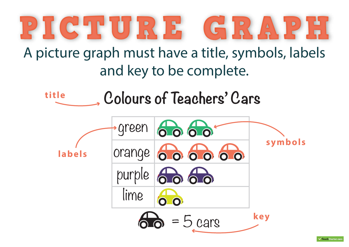## PICTURE GRA

## A picture graph must have a title, symbols, labels and key to be complete.



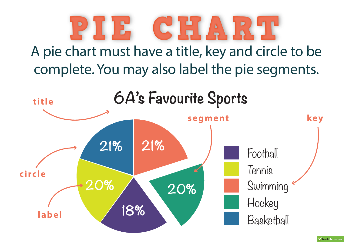

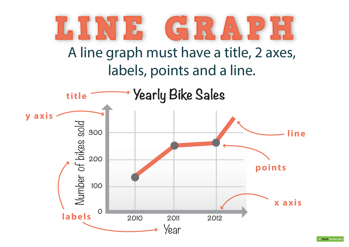

 $\overline{\smash{\checkmark}}$ Teach Starter.cor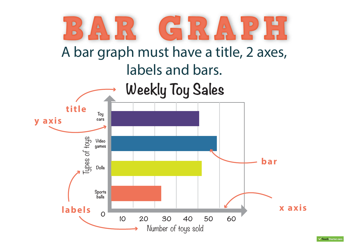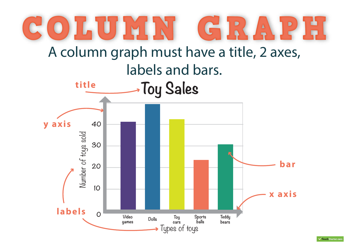